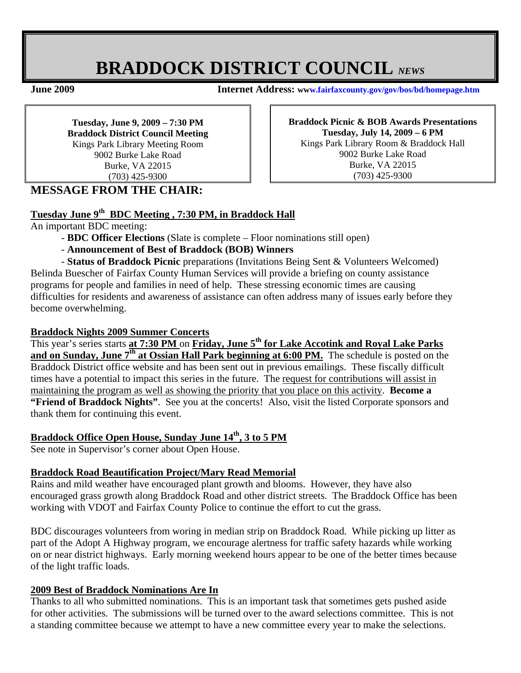# **BRADDOCK DISTRICT COUNCIL** *NEWS*

**June 2009 Internet Address: www.fairfaxcounty.gov/gov/bos/bd/homepage.htm**

**Tuesday, June 9, 2009 – 7:30 PM Braddock District Council Meeting**  Kings Park Library Meeting Room 9002 Burke Lake Road Burke, VA 22015 (703) 425-9300

**Braddock Picnic & BOB Awards Presentations Tuesday, July 14, 2009 – 6 PM**  Kings Park Library Room & Braddock Hall 9002 Burke Lake Road Burke, VA 22015 (703) 425-9300

## **MESSAGE FROM THE CHAIR:**

## **Tuesday June 9th BDC Meeting , 7:30 PM, in Braddock Hall**

An important BDC meeting:

become overwhelming.

- **BDC Officer Elections** (Slate is complete Floor nominations still open)
- **Announcement of Best of Braddock (BOB) Winners**
- **Status of Braddock Picnic** preparations (Invitations Being Sent & Volunteers Welcomed) Belinda Buescher of Fairfax County Human Services will provide a briefing on county assistance programs for people and families in need of help. These stressing economic times are causing difficulties for residents and awareness of assistance can often address many of issues early before they

#### **Braddock Nights 2009 Summer Concerts**

This year's series starts **at 7:30 PM** on **Friday, June 5th for Lake Accotink and Royal Lake Parks and on Sunday, June 7th at Ossian Hall Park beginning at 6:00 PM.** The schedule is posted on the Braddock District office website and has been sent out in previous emailings. These fiscally difficult times have a potential to impact this series in the future. The request for contributions will assist in maintaining the program as well as showing the priority that you place on this activity. **Become a "Friend of Braddock Nights"**. See you at the concerts! Also, visit the listed Corporate sponsors and thank them for continuing this event.

## **Braddock Office Open House, Sunday June 14th, 3 to 5 PM**

See note in Supervisor's corner about Open House.

#### **Braddock Road Beautification Project/Mary Read Memorial**

Rains and mild weather have encouraged plant growth and blooms. However, they have also encouraged grass growth along Braddock Road and other district streets. The Braddock Office has been working with VDOT and Fairfax County Police to continue the effort to cut the grass.

BDC discourages volunteers from woring in median strip on Braddock Road. While picking up litter as part of the Adopt A Highway program, we encourage alertness for traffic safety hazards while working on or near district highways. Early morning weekend hours appear to be one of the better times because of the light traffic loads.

#### **2009 Best of Braddock Nominations Are In**

Thanks to all who submitted nominations. This is an important task that sometimes gets pushed aside for other activities. The submissions will be turned over to the award selections committee. This is not a standing committee because we attempt to have a new committee every year to make the selections.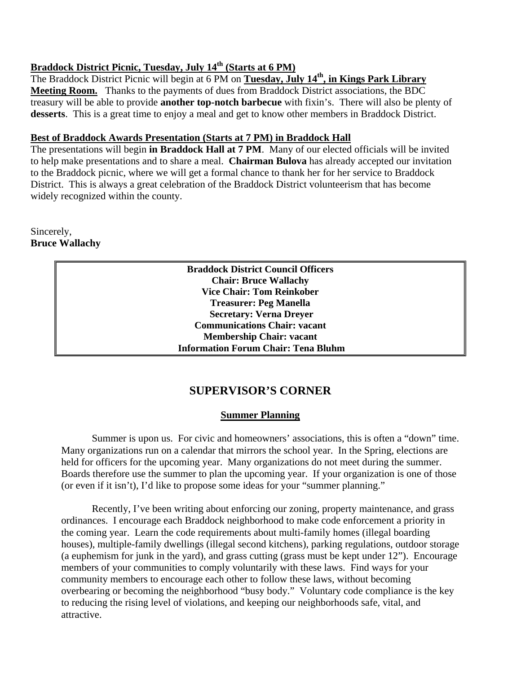# **Braddock District Picnic, Tuesday, July 14th (Starts at 6 PM)**

The Braddock District Picnic will begin at 6 PM on **Tuesday, July 14th, in Kings Park Library Meeting Room.** Thanks to the payments of dues from Braddock District associations, the BDC treasury will be able to provide **another top-notch barbecue** with fixin's. There will also be plenty of **desserts**. This is a great time to enjoy a meal and get to know other members in Braddock District.

### **Best of Braddock Awards Presentation (Starts at 7 PM) in Braddock Hall**

The presentations will begin **in Braddock Hall at 7 PM**. Many of our elected officials will be invited to help make presentations and to share a meal. **Chairman Bulova** has already accepted our invitation to the Braddock picnic, where we will get a formal chance to thank her for her service to Braddock District. This is always a great celebration of the Braddock District volunteerism that has become widely recognized within the county.

## Sincerely, **Bruce Wallachy**

**Braddock District Council Officers Chair: Bruce Wallachy Vice Chair: Tom Reinkober Treasurer: Peg Manella Secretary: Verna Dreyer Communications Chair: vacant Membership Chair: vacant Information Forum Chair: Tena Bluhm**

## **SUPERVISOR'S CORNER**

#### **Summer Planning**

 Summer is upon us. For civic and homeowners' associations, this is often a "down" time. Many organizations run on a calendar that mirrors the school year. In the Spring, elections are held for officers for the upcoming year. Many organizations do not meet during the summer. Boards therefore use the summer to plan the upcoming year. If your organization is one of those (or even if it isn't), I'd like to propose some ideas for your "summer planning."

 Recently, I've been writing about enforcing our zoning, property maintenance, and grass ordinances. I encourage each Braddock neighborhood to make code enforcement a priority in the coming year. Learn the code requirements about multi-family homes (illegal boarding houses), multiple-family dwellings (illegal second kitchens), parking regulations, outdoor storage (a euphemism for junk in the yard), and grass cutting (grass must be kept under 12"). Encourage members of your communities to comply voluntarily with these laws. Find ways for your community members to encourage each other to follow these laws, without becoming overbearing or becoming the neighborhood "busy body." Voluntary code compliance is the key to reducing the rising level of violations, and keeping our neighborhoods safe, vital, and attractive.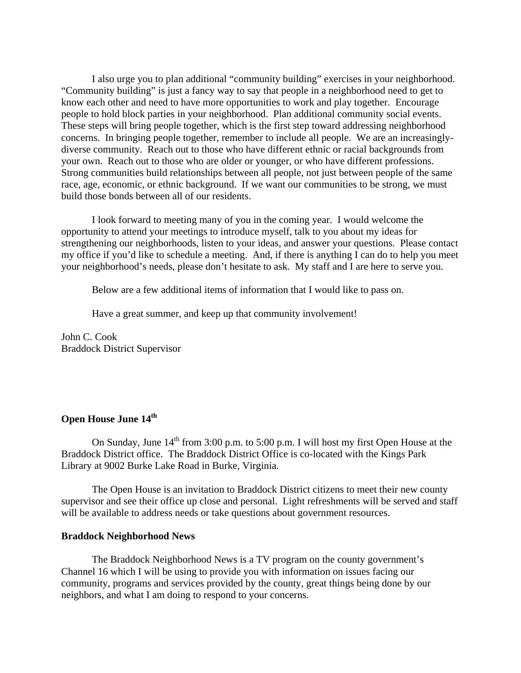I also urge you to plan additional "community building" exercises in your neighborhood. "Community building" is just a fancy way to say that people in a neighborhood need to get to know each other and need to have more opportunities to work and play together. Encourage people to hold block parties in your neighborhood. Plan additional community social events. These steps will bring people together, which is the first step toward addressing neighborhood concerns. In bringing people together, remember to include all people. We are an increasinglydiverse community. Reach out to those who have different ethnic or racial backgrounds from your own. Reach out to those who are older or younger, or who have different professions. Strong communities build relationships between all people, not just between people of the same race, age, economic, or ethnic background. If we want our communities to be strong, we must build those bonds between all of our residents.

 I look forward to meeting many of you in the coming year. I would welcome the opportunity to attend your meetings to introduce myself, talk to you about my ideas for strengthening our neighborhoods, listen to your ideas, and answer your questions. Please contact my office if you'd like to schedule a meeting. And, if there is anything I can do to help you meet your neighborhood's needs, please don't hesitate to ask. My staff and I are here to serve you.

Below are a few additional items of information that I would like to pass on.

Have a great summer, and keep up that community involvement!

John C. Cook Braddock District Supervisor

## **Open House June 14<sup>th</sup>**

On Sunday, June  $14<sup>th</sup>$  from 3:00 p.m. to 5:00 p.m. I will host my first Open House at the Braddock District office. The Braddock District Office is co-located with the Kings Park Library at 9002 Burke Lake Road in Burke, Virginia.

 The Open House is an invitation to Braddock District citizens to meet their new county supervisor and see their office up close and personal. Light refreshments will be served and staff will be available to address needs or take questions about government resources.

#### **Braddock Neighborhood News**

The Braddock Neighborhood News is a TV program on the county government's Channel 16 which I will be using to provide you with information on issues facing our community, programs and services provided by the county, great things being done by our neighbors, and what I am doing to respond to your concerns.